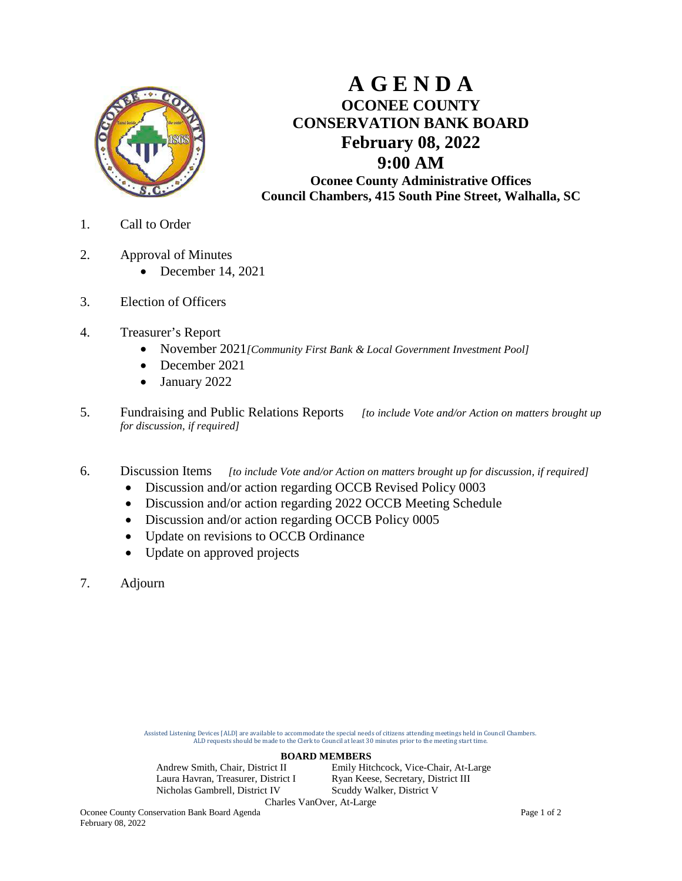

## **A G E N D A OCONEE COUNTY CONSERVATION BANK BOARD February 08, 2022 9:00 AM Oconee County Administrative Offices Council Chambers, 415 South Pine Street, Walhalla, SC**

1. Call to Order

- 2. Approval of Minutes
	- December 14, 2021
- 3. Election of Officers
- 4. Treasurer's Report
	- November 2021*[Community First Bank & Local Government Investment Pool]*
	- December 2021
	- January 2022
- 5. Fundraising and Public Relations Reports *[to include Vote and/or Action on matters brought up for discussion, if required]*
- 6. Discussion Items *[to include Vote and/or Action on matters brought up for discussion, if required]*
	- Discussion and/or action regarding OCCB Revised Policy 0003
	- Discussion and/or action regarding 2022 OCCB Meeting Schedule
	- Discussion and/or action regarding OCCB Policy 0005
	- Update on revisions to OCCB Ordinance
	- Update on approved projects
- 7. Adjourn

Assisted Listening Devices [ALD] are available to accommodate the special needs of citizens attending meetings held in Council Chambers. ALD requests should be made to the Clerk to Council at least 30 minutes prior to the meeting start time.

**BOARD MEMBERS**<br>Andrew Smith, Chair, District II Emily Hite Laura Havran, Treasurer, District I Ryan Keese, Secretary, District III<br>Nicholas Gambrell, District IV Scuddy Walker, District V Nicholas Gambrell, District IV

Emily Hitchcock, Vice-Chair, At-Large Charles VanOver, At-Large